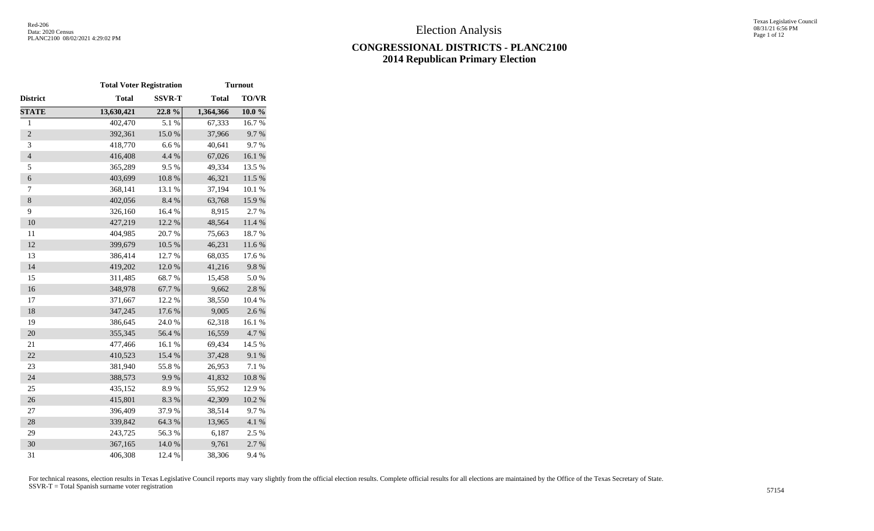|                | <b>Total Voter Registration</b> |               |              | <b>Turnout</b> |
|----------------|---------------------------------|---------------|--------------|----------------|
| District       | <b>Total</b>                    | <b>SSVR-T</b> | <b>Total</b> | TO/VR          |
| <b>STATE</b>   | 13,630,421                      | 22.8%         | 1,364,366    | 10.0%          |
| $\mathbf{1}$   | 402,470                         | 5.1 %         | 67,333       | 16.7%          |
| $\overline{2}$ | 392,361                         | 15.0%         | 37,966       | 9.7%           |
| 3              | 418,770                         | 6.6%          | 40,641       | 9.7%           |
| $\overline{4}$ | 416,408                         | 4.4 %         | 67,026       | $16.1~\%$      |
| 5              | 365,289                         | 9.5%          | 49,334       | 13.5 %         |
| $\epsilon$     | 403,699                         | 10.8 %        | 46,321       | $11.5\ \%$     |
| $\tau$         | 368,141                         | 13.1 %        | 37,194       | 10.1 %         |
| $\,8\,$        | 402,056                         | 8.4%          | 63,768       | 15.9%          |
| 9              | 326,160                         | 16.4 %        | 8,915        | 2.7 %          |
| 10             | 427,219                         | 12.2 %        | 48,564       | 11.4 %         |
| 11             | 404,985                         | 20.7%         | 75,663       | 18.7%          |
| 12             | 399,679                         | 10.5 %        | 46,231       | $11.6\ \%$     |
| 13             | 386,414                         | 12.7 %        | 68,035       | 17.6 %         |
| 14             | 419,202                         | 12.0%         | 41,216       | 9.8%           |
| 15             | 311,485                         | 68.7%         | 15,458       | 5.0%           |
| 16             | 348,978                         | 67.7%         | 9,662        | 2.8 %          |
| 17             | 371,667                         | 12.2 %        | 38,550       | 10.4 %         |
| 18             | 347,245                         | 17.6 %        | 9,005        | 2.6%           |
| 19             | 386,645                         | 24.0 %        | 62,318       | 16.1%          |
| 20             | 355,345                         | 56.4 %        | 16,559       | 4.7%           |
| 21             | 477,466                         | 16.1%         | 69,434       | 14.5 %         |
| 22             | 410,523                         | 15.4 %        | 37,428       | 9.1%           |
| 23             | 381,940                         | 55.8%         | 26,953       | 7.1 %          |
| 24             | 388,573                         | 9.9%          | 41,832       | $10.8~\%$      |
| 25             | 435,152                         | 8.9%          | 55,952       | 12.9%          |
| 26             | 415,801                         | 8.3%          | 42,309       | 10.2 %         |
| 27             | 396,409                         | 37.9%         | 38,514       | 9.7%           |
| 28             | 339,842                         | 64.3%         | 13,965       | $4.1~\%$       |
| 29             | 243,725                         | 56.3%         | 6,187        | 2.5 %          |
| 30             | 367,165                         | 14.0 %        | 9,761        | 2.7%           |
| 31             | 406,308                         | 12.4 %        | 38,306       | 9.4%           |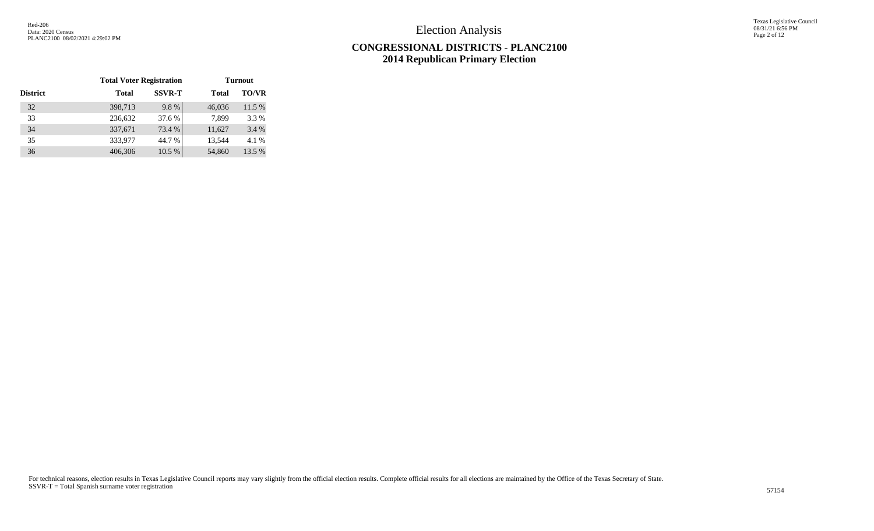Texas Legislative Council 08/31/21 6:56 PM Page 2 of 12

# **CONGRESSIONAL DISTRICTS - PLANC2100 2014 Republican Primary Election**

|                 | <b>Total Voter Registration</b> |               |              | <b>Turnout</b> |
|-----------------|---------------------------------|---------------|--------------|----------------|
| <b>District</b> | Total                           | <b>SSVR-T</b> | <b>Total</b> | <b>TO/VR</b>   |
| 32              | 398,713                         | 9.8%          | 46,036       | 11.5 %         |
| 33              | 236,632                         | 37.6 %        | 7,899        | 3.3 %          |
| 34              | 337,671                         | 73.4 %        | 11,627       | 3.4 %          |
| 35              | 333,977                         | 44.7 %        | 13,544       | 4.1 %          |
| 36              | 406,306                         | 10.5 %        | 54,860       | 13.5 %         |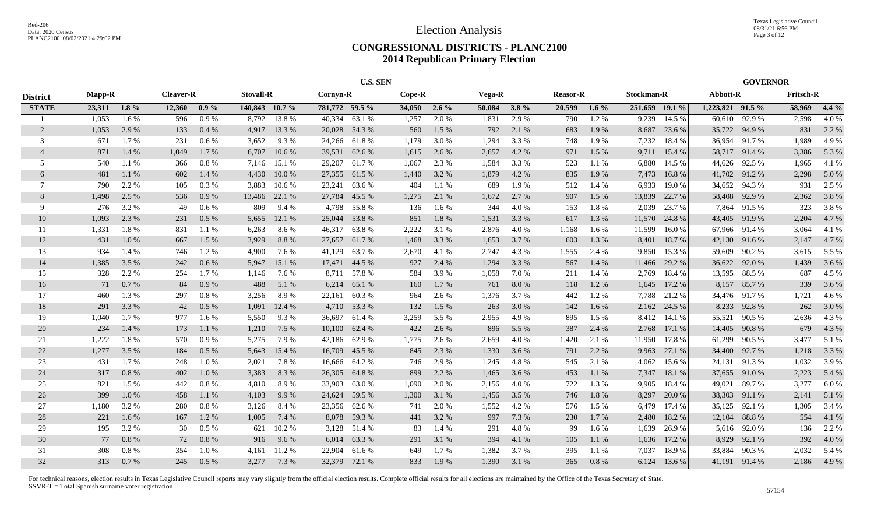|                 |               |         |                  |         |                  |          |                | <b>U.S. SEN</b> |          |          |        |         |                 |         |                |        |                  | <b>GOVERNOR</b> |                  |         |
|-----------------|---------------|---------|------------------|---------|------------------|----------|----------------|-----------------|----------|----------|--------|---------|-----------------|---------|----------------|--------|------------------|-----------------|------------------|---------|
| <b>District</b> | <b>Mapp-R</b> |         | <b>Cleaver-R</b> |         | <b>Stovall-R</b> |          | Cornyn-R       |                 | $Cope-R$ |          | Vega-R |         | <b>Reasor-R</b> |         | Stockman-R     |        | Abbott-R         |                 | <b>Fritsch-R</b> |         |
| <b>STATE</b>    | 23,311        | $1.8\%$ | 12,360           | $0.9\%$ | 140,843 10.7 %   |          | 781,772 59.5 % |                 | 34,050   | $2.6\%$  | 50,084 | $3.8\%$ | 20,599          | $1.6\%$ | 251,659 19.1 % |        | 1,223,821 91.5 % |                 | 58,969           | $4.4\%$ |
|                 | 1,053         | 1.6%    | 596              | 0.9%    | 8,792            | 13.8 %   | 40,334         | 63.1 %          | 1,257    | 2.0 %    | 1,831  | 2.9 %   | 790             | 1.2%    | 9,239          | 14.5 % | 60,610           | 92.9 %          | 2,598            | 4.0%    |
| 2               | 1,053         | 2.9%    | 133              | 0.4%    | 4,917            | 13.3 %   |                | 20,028 54.3 %   | 560      | 1.5 %    | 792    | 2.1 %   | 683             | 1.9%    | 8,687          | 23.6 % | 35,722           | 94.9 %          | 831              | 2.2 %   |
| 3               | 671           | 1.7 %   | 231              | $0.6\%$ | 3,652            | 9.3%     |                | 24,266 61.8 %   | 1,179    | 3.0 %    | 1,294  | 3.3%    | 748             | 1.9%    | 7,232          | 18.4 % | 36,954           | 91.7 %          | 1,989            | 4.9%    |
| $\overline{4}$  | 871           | 1.4 %   | 1,049            | 1.7%    | 6,707            | 10.6%    | 39,531         | 62.6 %          | 1,615    | 2.6 %    | 2,657  | 4.2 %   | 971             | 1.5 %   | 9,711          | 15.4 % | 58,717 91.4 %    |                 | 3,386            | 5.3 %   |
| 5               | 540           | 1.1 %   | 366              | $0.8\%$ | 7,146            | 15.1 %   | 29,207         | 61.7 %          | 1,067    | 2.3 %    | 1,584  | 3.3%    | 523             | 1.1 %   | 6,880          | 14.5 % | 44,626           | 92.5 %          | 1,965            | 4.1 %   |
| 6               | 481           | 1.1%    | 602              | 1.4 %   | 4,430            | 10.0%    | 27,355         | 61.5 %          | 1,440    | 3.2 %    | 1,879  | 4.2 %   | 835             | 1.9%    | 7,473          | 16.8%  | 41,702 91.2 %    |                 | 2,298            | 5.0%    |
| $\tau$          | 790           | 2.2 %   | 105              | 0.3 %   | 3,883            | $10.6\%$ | 23,241         | 63.6 %          | 404      | 1.1 %    | 689    | 1.9%    | 512             | 1.4 %   | 6,933          | 19.0%  | 34,652 94.3 %    |                 | 931              | 2.5 %   |
| 8               | 1,498         | 2.5 %   | 536              | 0.9%    | 13,486           | 22.1 %   | 27,784         | 45.5 %          | 1,275    | 2.1 %    | 1,672  | 2.7%    | 907             | 1.5 %   | 13,839         | 22.7 % | 58,408           | 92.9 %          | 2,362            | 3.8%    |
| 9               | 276           | 3.2 %   | 49               | 0.6 %   | 809              | 9.4 %    | 4,798          | 55.8%           | 136      | 1.6 %    | 344    | 4.0%    | 153             | 1.8%    | 2,039          | 23.7 % | 7,864            | 91.5 %          | 323              | 3.8%    |
| 10              | 1,093         | 2.3 %   | 231              | 0.5%    | 5,655            | 12.1 %   | 25,044         | 53.8%           | 851      | $1.8~\%$ | 1,531  | 3.3 %   | 617             | 1.3%    | 11,570         | 24.8%  | 43,405           | 91.9%           | 2,204            | 4.7%    |
| -11             | 1,331         | 1.8%    | 831              | 1.1 %   | 6,263            | 8.6 %    | 46,317         | 63.8%           | 2,222    | 3.1 %    | 2,876  | 4.0%    | 1,168           | 1.6 %   | 11,599         | 16.0 % | 67,966           | 91.4 %          | 3,064            | 4.1 %   |
| 12              | 431           | 1.0%    | 667              | 1.5 %   | 3,929            | 8.8%     |                | 27,657 61.7 %   | 1,468    | 3.3 %    | 1,653  | 3.7%    | 603             | 1.3%    | 8,401          | 18.7%  | 42,130 91.6 %    |                 | 2,147            | 4.7%    |
| 13              | 934           | $1.4\%$ | 746              | 1.2%    | 4,900            | 7.6 %    | 41,129         | 63.7 %          | 2,670    | 4.1 %    | 2,747  | 4.3 %   | 1,555           | 2.4 %   | 9,850          | 15.3 % | 59,609           | 90.2%           | 3,615            | 5.5 %   |
| 14              | 1,385         | 3.5 %   | 242              | 0.6 %   | 5,947            | 15.1 %   |                | 17,471 44.5 %   | 927      | 2.4 %    | 1,294  | 3.3 %   | 567             | 1.4 %   | 11,466         | 29.2 % | 36,622 92.0 %    |                 | 1,439            | 3.6 %   |
| 15              | 328           | 2.2 %   | 254              | 1.7%    | 1,146            | 7.6 %    |                | 8,711 57.8 %    | 584      | 3.9%     | 1,058  | 7.0%    | 211             | 1.4 %   | 2,769          | 18.4 % | 13,595 88.5 %    |                 | 687              | 4.5 %   |
| 16              | 71            | 0.7%    | 84               | 0.9%    | 488              | 5.1 %    |                | 6,214 65.1 %    | 160      | 1.7 %    | 761    | 8.0%    | 118             | 1.2%    | 1,645          | 17.2 % |                  | 8,157 85.7 %    | 339              | 3.6 %   |
| 17              | 460           | 1.3 %   | 297              | 0.8%    | 3,256            | 8.9%     | 22,161         | 60.3%           | 964      | 2.6 %    | 1,376  | 3.7 %   | 442             | 1.2%    | 7,788          | 21.2 % |                  | 34,476 91.7 %   | 1,721            | 4.6 %   |
| 18              | 291           | 3.3 %   | 42               | 0.5%    | 1,091            | 12.4 %   |                | 4,710 53.3 %    | 132      | 1.5 %    | 263    | 3.0%    | 142             | 1.6 %   | 2,162          | 24.5 % | 8,233            | 92.8%           | 262              | 3.0 %   |
| 19              | 1,040         | 1.7 %   | 977              | 1.6 %   | 5,550            | 9.3%     | 36,697         | 61.4%           | 3,259    | 5.5 %    | 2,955  | 4.9%    | 895             | 1.5 %   | 8,412          | 14.1 % | 55,521           | 90.5 %          | 2,636            | 4.3 %   |
| 20              | 234           | 1.4 %   | 173              | 1.1%    | 1,210            | 7.5 %    | 10,100         | 62.4 %          | 422      | 2.6 %    | 896    | 5.5 %   | 387             | 2.4 %   | 2,768          | 17.1 % | 14,405           | 90.8%           | 679              | 4.3 %   |
| 21              | 1,222         | 1.8%    | 570              | 0.9%    | 5,275            | 7.9%     |                | 42,186 62.9 %   | 1,775    | 2.6 %    | 2,659  | 4.0%    | 1,420           | 2.1 %   | 11,950         | 17.8%  | 61,299           | 90.5 %          | 3,477            | 5.1 %   |
| 22              | 1,277         | 3.5 %   | 184              | 0.5 %   | 5,643            | 15.4 %   | 16,709         | 45.5 %          | 845      | 2.3 %    | 1,330  | 3.6%    | 791             | 2.2 %   | 9,963          | 27.1 % | 34,400           | 92.7%           | 1,218            | 3.3 %   |
| 23              | 431           | 1.7%    | 248              | 1.0 %   | 2,021            | 7.8%     | 16,666         | 64.2 %          | 746      | 2.9%     | 1,245  | 4.8%    | 545             | 2.1 %   | 4,062          | 15.6 % | 24,131 91.3 %    |                 | 1,032            | 3.9%    |
| 24              | 317           | 0.8 %   | 402              | 1.0%    | 3,383            | 8.3%     | 26,305         | 64.8%           | 899      | 2.2 %    | 1,465  | 3.6%    | 453             | 1.1 %   | 7,347          | 18.1 % | 37,655 91.0 %    |                 | 2,223            | 5.4 %   |
| 25              | 821           | 1.5 %   | 442              | 0.8%    | 4,810            | 8.9%     | 33,903         | 63.0%           | 1,090    | 2.0 %    | 2,156  | 4.0%    | 722             | 1.3 %   | 9,905          | 18.4 % | 49,021           | 89.7%           | 3,277            | 6.0%    |
| 26              | 399           | 1.0%    | 458              | 1.1 %   | 4,103            | 9.9%     | 24,624         | 59.5 %          | 1,300    | 3.1 %    | 1,456  | 3.5 %   | 746             | 1.8%    | 8,297          | 20.0 % | 38,303           | 91.1 %          | 2,141            | 5.1 %   |
| 27              | 1,180         | 3.2 %   | 280              | $0.8\%$ | 3,126            | 8.4 %    | 23,356         | 62.6 %          | 741      | 2.0%     | 1,552  | 4.2%    | 576             | 1.5 %   | 6,479          | 17.4 % | 35,125           | 92.1 %          | 1,305            | 3.4 %   |
| 28              | 221           | 1.6 %   | 167              | 1.2 %   | 1,005            | 7.4 %    |                | 8,078 59.3 %    | 441      | 3.2 %    | 997    | 7.3 %   | <b>230</b>      | 1.7%    | 2,480          | 18.2 % | 12,104           | 88.8%           | 554              | 4.1 %   |
| 29              | 195           | 3.2 %   | 30               | $0.5\%$ | 621              | 10.2 %   |                | 3,128 51.4 %    | 83       | 1.4 %    | 291    | 4.8%    | 99              | 1.6 %   | 1,639          | 26.9%  |                  | 5,616 92.0 %    | 136              | 2.2 %   |
| 30              | 77            | 0.8%    | 72               | 0.8 %   | 916              | 9.6 %    |                | 6,014 63.3 %    | 291      | 3.1 %    | 394    | 4.1 %   | 105             | 1.1 %   | 1,636          | 17.2 % | 8,929            | 92.1 %          | 392              | 4.0%    |
| 31              | 308           | 0.8%    | 354              | 1.0%    | 4,161            | 11.2 %   | 22,904         | 61.6 %          | 649      | 1.7%     | 1,382  | 3.7%    | 395             | 1.1%    | 7,037          | 18.9%  | 33,884           | 90.3%           | 2,032            | 5.4 %   |
| 32              | 313           | 0.7%    | 245              | 0.5%    | 3,277            | 7.3 %    |                | 32,379 72.1 %   | 833      | 1.9%     | 1.390  | 3.1 %   | 365             | 0.8%    | 6,124          | 13.6 % | 41,191 91.4 %    |                 | 2,186            | 4.9%    |
|                 |               |         |                  |         |                  |          |                |                 |          |          |        |         |                 |         |                |        |                  |                 |                  |         |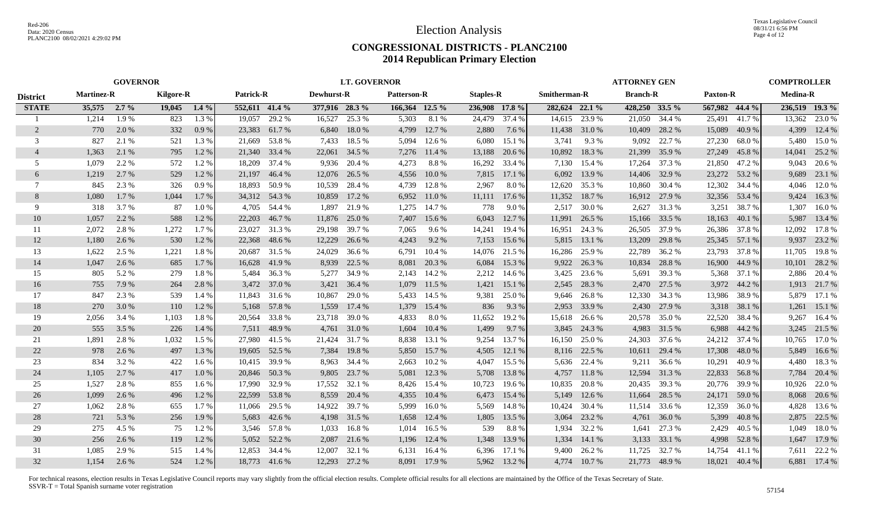|                 |                   | <b>GOVERNOR</b> |                  |         |                  |               |                | <b>LT. GOVERNOR</b> |                    |              |                  |        |                     |              | <b>ATTORNEY GEN</b> |        |                 |               | <b>COMPTROLLER</b> |                |
|-----------------|-------------------|-----------------|------------------|---------|------------------|---------------|----------------|---------------------|--------------------|--------------|------------------|--------|---------------------|--------------|---------------------|--------|-----------------|---------------|--------------------|----------------|
| <b>District</b> | <b>Martinez-R</b> |                 | <b>Kilgore-R</b> |         | <b>Patrick-R</b> |               | Dewhurst-R     |                     | <b>Patterson-R</b> |              | <b>Staples-R</b> |        | <b>Smitherman-R</b> |              | <b>Branch-R</b>     |        | <b>Paxton-R</b> |               | <b>Medina-R</b>    |                |
| <b>STATE</b>    | 35,575            | $2.7\%$         | 19,045           | $1.4\%$ | 552,611 41.4 %   |               | 377,916 28.3 % |                     | 166,364 12.5 %     |              | 236,908 17.8 %   |        | 282,624 22.1 %      |              | 428,250 33.5 %      |        | 567,982 44.4 %  |               |                    | 236,519 19.3 % |
|                 | 1,214             | 1.9%            | 823              | 1.3%    | 19,057           | 29.2 %        | 16,527         | 25.3 %              | 5,303              | 8.1 %        | 24,479           | 37.4 % | 14,615              | 23.9 %       | 21,050              | 34.4 % | 25,491          | 41.7%         | 13,362             | 23.0 %         |
| 2               | 770               | 2.0 %           | 332              | 0.9%    | 23,383           | 61.7%         |                | 6,840 18.0 %        | 4,799              | 12.7 %       | 2,880            | 7.6 %  | 11,438              | 31.0 %       | 10,409              | 28.2 % | 15,089          | 40.9%         | 4,399              | 12.4 %         |
| 3               | 827               | 2.1 %           | 521              | 1.3%    | 21.669           | 53.8%         | 7,433          | 18.5 %              | 5.094              | 12.6 %       | 6,080            | 15.1 % | 3,741               | 9.3%         | 9,092               | 22.7 % | 27,230          | 68.0 %        | 5.480              | 15.0%          |
| 4               | 1,363             | 2.1 %           | 795              | 1.2%    | 21,340           | 33.4 %        | 22,061         | 34.5 %              | 7,276              | 11.4 %       | 13,188           | 20.6 % | 10,892              | 18.3%        | 21,399              | 35.9%  | 27,249          | 45.8%         | 14,041             | 25.2 %         |
| 5               | 1,079             | 2.2 %           | 572              | 1.2%    | 18,209           | 37.4 %        | 9,936          | 20.4 %              | 4,273              | 8.8%         | 16,292           | 33.4 % | 7,130               | 15.4 %       | 17,264              | 37.3 % | 21,850          | 47.2 %        | 9,043              | 20.6 %         |
| 6               | 1,219             | 2.7 %           | 529              | 1.2%    | 21,197           | 46.4 %        | 12,076         | 26.5 %              | 4,556              | $10.0\%$     | 7,815            | 17.1 % | 6,092               | 13.9 %       | 14,406              | 32.9 % |                 | 23,272 53.2 % | 9,689              | 23.1 %         |
| $\tau$          | 845               | 2.3 %           | 326              | 0.9%    | 18,893           | 50.9 %        | 10,539         | 28.4 %              | 4,739              | 12.8 %       | 2,967            | 8.0%   | 12,620              | 35.3 %       | 10,860              | 30.4 % | 12,302          | 34.4 %        | 4.046              | 12.0 %         |
| 8               | 1,080             | 1.7 %           | 1,044            | 1.7%    |                  | 34,312 54.3 % | 10,859         | 17.2 %              | 6,952              | 11.0 %       | 11,111           | 17.6 % | 11,352              | 18.7 %       | 16,912              | 27.9 % | 32,356 53.4 %   |               | 9,424              | 16.3%          |
| 9               | 318               | 3.7 %           | 87               | 1.0%    | 4,705            | 54.4 %        | 1,897          | 21.9 %              | 1,275              | 14.7 %       | 778              | 9.0%   | 2,517               | 30.0%        | 2,627               | 31.3 % | 3,251           | 38.7%         | 1,307              | 16.0%          |
| 10              | 1,057             | 2.2 %           | 588              | 1.2%    | 22,203           | 46.7%         | 11,876         | 25.0 %              | 7,407              | 15.6 %       | 6,043            | 12.7 % | 11,991              | 26.5 %       | 15,166              | 33.5 % | 18,163          | 40.1 %        | 5,987              | 13.4 %         |
| 11              | 2,072             | 2.8%            | 1,272            | 1.7%    | 23,027           | 31.3%         | 29,198         | 39.7 %              | 7,065              | 9.6 %        | 14,241           | 19.4 % | 16,951              | 24.3 %       | 26,505              | 37.9%  | 26,386          | 37.8%         | 12,092             | 17.8%          |
| 12              | 1,180             | 2.6 %           | 530              | 1.2%    | 22,368           | 48.6 %        | 12,229         | 26.6 %              | 4,243              | 9.2 %        | 7,153            | 15.6 % | 5,815               | 13.1 %       | 13,209              | 29.8%  | 25,345          | 57.1 %        | 9,937              | 23.2 %         |
| 13              | 1,622             | 2.5 %           | 1,221            | 1.8%    | 20,687           | 31.5 %        | 24,029         | 36.6 %              | 6,791              | 10.4%        | 14,076           | 21.5 % | 16,286              | 25.9 %       | 22,789              | 36.2 % | 23,793          | 37.8 %        | 11,705             | 19.8 %         |
| 14              | 1,047             | 2.6 %           | 685              | 1.7 %   | 16,628           | 41.9%         | 8,939          | 22.5 %              | 8,081              | 20.3 %       | 6,084            | 15.3 % | 9,922               | 26.3 %       | 10,834              | 28.8%  | 16,900          | 44.9 %        | 10,101             | 28.2 %         |
| 15              | 805               | 5.2%            | 279              | 1.8%    | 5,484            | 36.3 %        | 5,277          | 34.9 %              |                    | 2,143 14.2 % | 2,212            | 14.6 % | 3,425               | 23.6 %       | 5,691               | 39.3%  | 5,368           | 37.1 %        | 2,886              | 20.4 %         |
| 16              | 755               | 7.9 %           | 264              | 2.8%    | 3,472            | 37.0 %        | 3,421          | 36.4 %              | 1,079              | 11.5 %       | 1,421            | 15.1 % | 2,545               | 28.3 %       | 2,470               | 27.5 % | 3,972           | 44.2 %        |                    | 1,913 21.7 %   |
| 17              | 847               | 2.3 %           | 539              | 1.4 %   |                  | 11,843 31.6 % | 10,867         | 29.0 %              |                    | 5,433 14.5 % | 9,381            | 25.0 % | 9,646               | 26.8%        | 12,330              | 34.3 % | 13,986          | 38.9%         |                    | 5,879 17.1 %   |
| 18              | 270               | 3.0 %           | 110              | 1.2%    | 5,168            | 57.8%         | 1,559          | 17.4 %              | 1,379              | 15.4 %       | 836              | 9.3%   | 2,953               | 33.9 %       | 2,430               | 27.9 % |                 | 3,318 38.1 %  | 1,261              | 15.1 %         |
| 19              | 2,056             | 3.4 %           | 1,103            | 1.8%    | 20,564           | 33.8%         | 23,718         | 39.0 %              | 4,833              | 8.0%         | 11,652           | 19.2 % | 15,618              | 26.6 %       | 20,578              | 35.0%  | 22,520          | 38.4 %        | 9,267              | 16.4 %         |
| 20              | 555               | 3.5 %           | 226              | $1.4\%$ | 7.511            | 48.9%         |                | 4,761 31.0 %        | 1,604              | 10.4%        | 1,499            | 9.7 %  | 3,845               | 24.3 %       | 4.983               | 31.5 % | 6,988           | 44.2 %        |                    | 3,245 21.5 %   |
| 21              | 1,891             | 2.8 %           | 1,032            | 1.5 %   | 27,980           | 41.5 %        | 21,424         | 31.7%               | 8,838              | 13.1 %       | 9,254            | 13.7 % | 16,150              | 25.0%        | 24,303              | 37.6 % | 24,212          | 37.4 %        | 10,765             | 17.0 %         |
| 22              | 978               | 2.6 %           | 497              | 1.3 %   | 19,605           | 52.5 %        | 7,384          | 19.8 %              | 5,850              | 15.7 %       | 4,505            | 12.1%  | 8,116               | 22.5 %       | 10,611              | 29.4 % | 17,308          | 48.0%         | 5,849              | 16.6 %         |
| 23              | 834               | 3.2 %           | 422              | $1.6\%$ | 10,415           | 39.9%         | 8,963          | 34.4 %              | 2,663              | 10.2 %       | 4,047            | 15.5 % | 5,636               | 22.4 %       | 9,211               | 36.6 % | 10,291          | 40.9%         | 4,480              | 18.3%          |
| 24              | 1,105             | 2.7 %           | 417              | 1.0%    |                  | 20,846 50.3 % | 9,805          | 23.7 %              | 5,081              | 12.3 %       | 5,708            | 13.8 % | 4,757               | 11.8%        | 12,594              | 31.3%  | 22,833          | 56.8%         | 7,784              | 20.4 %         |
| 25              | 1,527             | 2.8%            | 855              | 1.6%    | 17.990           | 32.9 %        | 17,552         | 32.1 %              | 8,426              | 15.4 %       | 10,723           | 19.6 % | 10,835              | 20.8%        | 20,435              | 39.3 % | 20,776          | 39.9 %        | 10,926             | 22.0 %         |
| 26              | 1,099             | 2.6 %           | 496              | 1.2%    | 22,599           | 53.8%         | 8,559          | 20.4 %              | 4,355              | 10.4%        | 6,473            | 15.4 % | 5,149               | 12.6 %       | 11,664              | 28.5 % | 24,171          | 59.0 %        | 8,068              | 20.6 %         |
| 27              | 1,062             | 2.8%            | 655              | 1.7%    | 11,066           | 29.5 %        | 14,922         | 39.7 %              | 5,999              | 16.0%        | 5,569            | 14.8%  | 10,424              | 30.4 %       | 11,514              | 33.6 % | 12,359          | 36.0%         | 4,828              | 13.6 %         |
| 28              | 721               | 5.3 %           | 256              | 1.9 %   | 5,683            | 42.6 %        |                | 4,198 31.5 %        | 1,658              | 12.4 %       | 1,805            | 13.5 % | 3,064               | 23.2 %       | 4,761               | 36.0%  | 5,399           | 40.8%         | 2,875              | 22.5 %         |
| 29              | 275               | 4.5 %           | 75               | 1.2%    |                  | 3,546 57.8 %  | 1,033          | 16.8%               | 1,014              | 16.5 %       | 539              | 8.8%   | 1,934               | 32.2 %       | 1,641               | 27.3 % | 2,429           | 40.5 %        | 1,049              | 18.0%          |
| 30              | 256               | 2.6 %           | 119              | $1.2\%$ | 5,052            | 52.2 %        | 2,087          | 21.6 %              | 1,196              | 12.4 %       | 1,348            | 13.9 % | 1,334               | 14.1 %       | 3,133               | 33.1 % | 4,998           | 52.8%         | 1,647              | 17.9 %         |
| 31              | 1.085             | 2.9 %           | 515              | 1.4 %   | 12,853           | 34.4 %        | 12,007         | 32.1 %              | 6,131              | 16.4 %       | 6,396            | 17.1 % | 9,400               | 26.2 %       | 11,725              | 32.7 % | 14,754          | 41.1 %        |                    | 7,611 22.2 %   |
| 32              | 1,154             | 2.6 %           | 524              | 1.2%    |                  | 18,773 41.6 % |                | 12,293 27.2 %       |                    | 8,091 17.9 % | 5,962            | 13.2 % |                     | 4,774 10.7 % | 21,773              | 48.9%  | 18,021          | 40.4 %        |                    | 6,881 17.4 %   |
|                 |                   |                 |                  |         |                  |               |                |                     |                    |              |                  |        |                     |              |                     |        |                 |               |                    |                |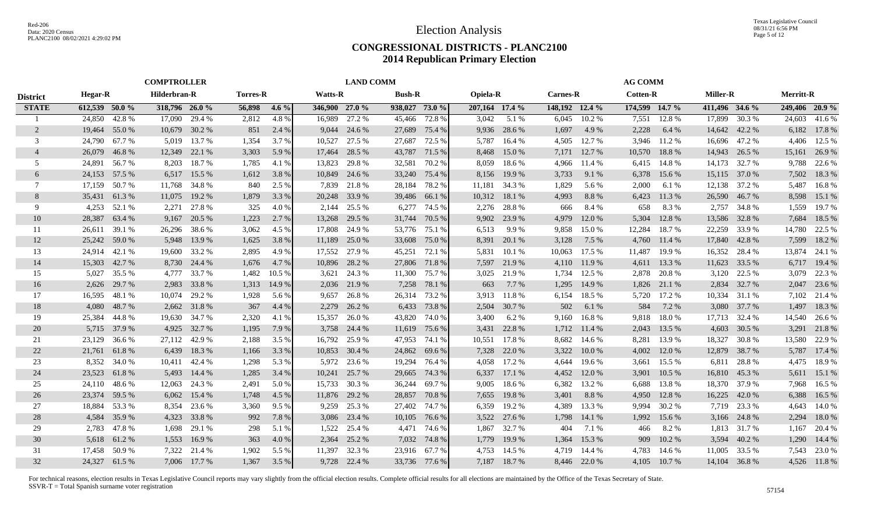|                 |                |               | <b>COMPTROLLER</b> |              |                 |         |                | <b>LAND COMM</b> |                |               |                 |               |                 |        | <b>AG COMM</b>  |              |                 |               |                  |                |
|-----------------|----------------|---------------|--------------------|--------------|-----------------|---------|----------------|------------------|----------------|---------------|-----------------|---------------|-----------------|--------|-----------------|--------------|-----------------|---------------|------------------|----------------|
| <b>District</b> | Hegar-R        |               | Hilderbran-R       |              | <b>Torres-R</b> |         | <b>Watts-R</b> |                  | <b>Bush-R</b>  |               | <b>Opiela-R</b> |               | <b>Carnes-R</b> |        | <b>Cotten-R</b> |              | <b>Miller-R</b> |               | <b>Merritt-R</b> |                |
| <b>STATE</b>    | 612,539 50.0 % |               | 318,796 26.0 %     |              | 56,898          | $4.6\%$ | 346,900 27.0 % |                  | 938,027 73.0 % |               | 207,164 17.4 %  |               | 148,192 12.4 %  |        | 174,599 14.7 %  |              | 411,496 34.6 %  |               |                  | 249,406 20.9 % |
|                 | 24,850         | 42.8%         | 17,090             | 29.4 %       | 2,812           | 4.8%    | 16,989         | 27.2 %           | 45,466         | 72.8 %        | 3,042           | 5.1%          | 6,045           | 10.2 % | 7,551           | 12.8%        | 17,899          | 30.3 %        | 24,603           | 41.6 %         |
| 2               | 19,464         | 55.0 %        | 10,679             | 30.2 %       | 851             | 2.4 %   | 9,044          | 24.6 %           |                | 27,689 75.4 % | 9,936           | 28.6 %        | 1,697           | 4.9 %  | 2,228           | 6.4 %        |                 | 14,642 42.2 % | 6,182            | 17.8 %         |
| 3               | 24,790         | 67.7 %        | 5.019              | 13.7 %       | 1,354           | 3.7 %   | 10,527         | 27.5 %           | 27,687         | 72.5 %        | 5,787           | 16.4 %        | 4,505           | 12.7 % | 3,946           | 11.2 %       | 16,696          | 47.2 %        | 4,406            | 12.5 %         |
| $\overline{4}$  | 26,079         | 46.8%         | 12,349             | 22.1 %       | 3,303           | 5.9 %   | 17,464         | 28.5 %           | 43,787         | 71.5 %        | 8,468           | 15.0 %        | 7,171           | 12.7 % | 10,570          | 18.8%        | 14,943          | 26.5 %        | 15,161           | 26.9 %         |
| 5               | 24,891         | 56.7%         | 8,203              | 18.7%        | 1,785           | 4.1 %   | 13,823         | 29.8%            | 32,581         | 70.2 %        | 8,059           | 18.6 %        | 4,966           | 11.4 % | 6,415           | 14.8%        | 14,173          | 32.7 %        | 9,788            | 22.6 %         |
| 6               |                | 24,153 57.5 % | 6,517              | 15.5 %       | 1,612           | 3.8 %   | 10,849         | 24.6 %           | 33,240         | 75.4 %        | 8,156           | 19.9 %        | 3,733           | 9.1 %  | 6,378           | 15.6 %       | 15,115          | 37.0 %        | 7,502            | 18.3 %         |
| 7               |                | 17,159 50.7 % | 11,768             | 34.8%        | 840             | 2.5 %   | 7,839          | 21.8%            | 28,184         | 78.2 %        |                 | 11,181 34.3 % | 1,829           | 5.6 %  | 2,000           | 6.1 %        | 12,138 37.2 %   |               | 5,487            | 16.8%          |
| 8               | 35,431         | 61.3%         | 11,075             | 19.2 %       | 1,879           | 3.3 %   | 20,248         | 33.9 %           |                | 39,486 66.1 % | 10,312          | 18.1 %        | 4,993           | 8.8%   | 6,423           | 11.3 %       | 26,590          | 46.7 %        | 8,598            | 15.1 %         |
| 9               | 4,253          | 52.1 %        | 2,271              | 27.8%        | 325             | 4.0 %   | 2,144          | 25.5 %           | 6,277          | 74.5 %        | 2,276           | 28.8%         | 666             | 8.4 %  | 658             | 8.3%         | 2,757           | 34.8 %        | 1,559            | 19.7 %         |
| 10              | 28,387         | 63.4 %        | 9,167              | 20.5 %       | 1,223           | 2.7 %   | 13,268         | 29.5 %           | 31,744         | 70.5 %        | 9,902           | 23.9 %        | 4,979           | 12.0%  | 5,304           | 12.8%        | 13,586          | 32.8%         | 7,684            | 18.5 %         |
| 11              | 26,611         | 39.1 %        | 26,296             | 38.6 %       | 3,062           | 4.5 %   | 17,808         | 24.9 %           |                | 53,776 75.1 % | 6,513           | 9.9 %         | 9,858           | 15.0 % | 12,284          | 18.7%        | 22,259          | 33.9%         | 14,780           | 22.5 %         |
| 12              | 25,242         | 59.0%         | 5,948              | 13.9 %       | 1,625           | 3.8%    | 11,189         | 25.0 %           | 33,608         | 75.0 %        | 8,391           | 20.1 %        | 3,128           | 7.5 %  | 4,760           | 11.4 %       | 17,840          | 42.8%         | 7,599            | 18.2 %         |
| 13              | 24,914         | 42.1 %        | 19,600             | 33.2 %       | 2,895           | 4.9%    | 17,552         | 27.9 %           | 45,251         | 72.1 %        | 5,831           | 10.1 %        | 10,063          | 17.5 % | 11.487          | 19.9%        | 16,352          | 28.4 %        | 13,874           | 24.1 %         |
| 14              | 15,303         | 42.7 %        |                    | 8,730 24.4 % | 1,676           | 4.7 %   | 10,896         | 28.2 %           |                | 27,806 71.8 % | 7,597           | 21.9 %        | 4,110           | 11.9 % | 4,611           | 13.3 %       | 11,623          | 33.5 %        | 6,717            | 19.4 %         |
| 15              | 5,027          | 35.5 %        | 4,777              | 33.7 %       | 1,482           | 10.5 %  | 3,621          | 24.3 %           | 11,300         | 75.7 %        | 3,025           | 21.9 %        | 1,734           | 12.5 % | 2,878           | 20.8%        | 3,120           | 22.5 %        | 3,079            | 22.3 %         |
| 16              | 2,626          | 29.7 %        | 2,983              | 33.8 %       | 1,313           | 14.9 %  | 2,036          | 21.9 %           | 7,258          | 78.1 %        | 663             | 7.7 %         | 1,295           | 14.9 % |                 | 1,826 21.1 % | 2,834           | 32.7 %        | 2,047            | 23.6 %         |
| 17              | 16,595         | 48.1 %        | 10,074             | 29.2 %       | 1,928           | 5.6 %   | 9,657          | 26.8%            | 26,314         | 73.2 %        | 3,913           | 11.8 %        | 6,154           | 18.5 % | 5,720           | 17.2 %       | 10,334          | 31.1 %        |                  | 7,102 21.4 %   |
| 18              | 4,080          | 48.7 %        | 2,662              | 31.8%        | 367             | 4.4 %   | 2,279          | 26.2 %           | 6,433          | 73.8%         | 2,504           | 30.7 %        | 502             | 6.1 %  | 584             | 7.2 %        | 3,080           | 37.7 %        | 1,497            | 18.3 %         |
| 19              | 25,384         | 44.8%         | 19,630             | 34.7 %       | 2,320           | 4.1 %   | 15,357         | 26.0%            | 43,820         | 74.0 %        | 3,400           | 6.2%          | 9,160           | 16.8%  | 9,818           | 18.0%        | 17,713          | 32.4 %        | 14,540           | 26.6 %         |
| 20              | 5,715          | 37.9 %        | 4,925              | 32.7 %       | 1,195           | 7.9 %   | 3,758          | 24.4 %           | 11,619         | 75.6 %        | 3,431           | 22.8 %        | 1,712           | 11.4 % | 2,043           | 13.5 %       | 4,603           | 30.5 %        | 3,291            | 21.8 %         |
| 21              | 23,129         | 36.6 %        | 27,112             | 42.9 %       | 2,188           | 3.5 %   | 16,792         | 25.9 %           | 47,953         | 74.1 %        | 10,551          | 17.8 %        | 8,682           | 14.6 % | 8,281           | 13.9 %       | 18,327          | 30.8%         | 13,580           | 22.9 %         |
| 22              | 21,761         | 61.8%         | 6,439              | 18.3%        | 1,166           | 3.3 %   | 10,853         | 30.4 %           | 24,862         | 69.6 %        | 7,328           | 22.0 %        | 3,322           | 10.0%  | 4,002           | 12.0 %       | 12,879          | 38.7 %        | 5,787            | 17.4 %         |
| 23              | 8,352          | 34.0 %        | 10,411             | 42.4 %       | 1,298           | 5.3 %   | 5,972          | 23.6 %           | 19,294         | 76.4 %        | 4,058           | 17.2 %        | 4.644           | 19.6 % | 3,661           | 15.5 %       | 6,811           | 28.8%         | 4,475            | 18.9%          |
| 24              | 23,523         | 61.8%         | 5,493              | 14.4 %       | 1,285           | 3.4 %   | 10,241         | 25.7 %           | 29,665         | 74.3 %        | 6,337           | 17.1 %        | 4,452           | 12.0 % | 3,901           | 10.5 %       | 16,810          | 45.3 %        | 5,611            | 15.1 %         |
| 25              |                | 24,110 48.6 % | 12,063             | 24.3 %       | 2,491           | 5.0 %   | 15,733         | 30.3 %           | 36,244         | 69.7 %        | 9,005           | 18.6 %        | 6,382           | 13.2 % | 6,688           | 13.8%        | 18,370          | 37.9 %        | 7,968            | 16.5 %         |
| 26              | 23,374         | 59.5 %        | 6,062              | 15.4 %       | 1,748           | 4.5 %   | 11,876         | 29.2 %           | 28,857         | 70.8%         | 7,655           | 19.8%         | 3,401           | 8.8%   | 4,950           | 12.8%        | 16,225          | 42.0 %        | 6,388            | 16.5 %         |
| 27              | 18,884         | 53.3 %        | 8,354              | 23.6 %       | 3,360           | 9.5 %   | 9,259          | 25.3 %           | 27,402         | 74.7 %        | 6,359           | 19.2 %        | 4,389           | 13.3 % | 9,994           | 30.2 %       | 7,719           | 23.3 %        | 4,643            | 14.0%          |
| 28              | 4,584          | 35.9%         | 4,323              | 33.8 %       | 992             | 7.8%    | 3,086          | 23.4 %           | 10,105         | 76.6 %        | 3,522           | 27.6 %        | 1,798           | 14.1 % | 1,992           | 15.6 %       | 3,166           | 24.8%         | 2,294            | 18.0 %         |
| 29              |                | 2,783 47.8 %  | 1,698              | 29.1 %       | 298             | 5.1 %   | 1,522          | 25.4 %           | 4,471          | 74.6 %        | 1,867           | 32.7 %        | 404             | 7.1 %  | 466             | 8.2%         | 1,813           | 31.7 %        | 1,167            | 20.4 %         |
| 30              | 5,618          | 61.2%         | 1,553              | 16.9%        | 363             | 4.0 %   | 2,364          | 25.2 %           | 7,032          | 74.8%         | 1,779           | 19.9 %        | 1,364           | 15.3 % | 909             | 10.2 %       | 3,594           | 40.2 %        | 1,290            | 14.4 %         |
| 31              | 17,458         | 50.9%         | 7,322              | 21.4 %       | 1,902           | 5.5 %   | 11,397         | 32.3 %           |                | 23,916 67.7 % | 4,753           | 14.5 %        | 4.719           | 14.4 % | 4,783           | 14.6 %       | 11,005          | 33.5 %        |                  | 7,543 23.0 %   |
| 32              | 24,327         | 61.5 %        |                    | 7,006 17.7 % | 1.367           | 3.5 %   |                | 9,728 22.4 %     |                | 33,736 77.6 % |                 | 7,187 18.7 %  | 8.446           | 22.0 % | 4.105           | 10.7%        | 14,104 36.8 %   |               |                  | 4,526 11.8 %   |
|                 |                |               |                    |              |                 |         |                |                  |                |               |                 |               |                 |        |                 |              |                 |               |                  |                |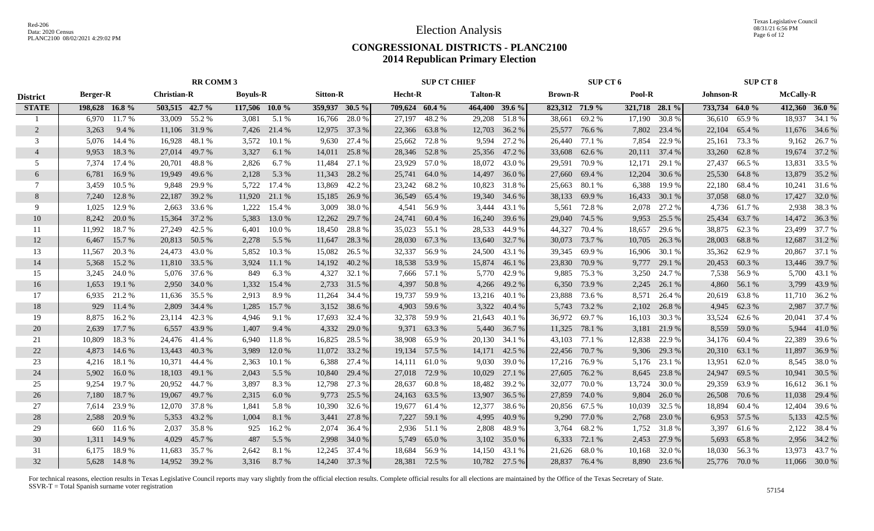|                 |                 |              |                    | <b>RR COMM 3</b> |                 |               |                 |               |                | <b>SUP CT CHIEF</b> |                 |               |                | SUP CT 6      |                |              |                | <b>SUP CT 8</b> |                  |               |
|-----------------|-----------------|--------------|--------------------|------------------|-----------------|---------------|-----------------|---------------|----------------|---------------------|-----------------|---------------|----------------|---------------|----------------|--------------|----------------|-----------------|------------------|---------------|
| <b>District</b> | <b>Berger-R</b> |              | <b>Christian-R</b> |                  | <b>Boyuls-R</b> |               | <b>Sitton-R</b> |               | Hecht-R        |                     | <b>Talton-R</b> |               | <b>Brown-R</b> |               | Pool-R         |              | Johnson-R      |                 | <b>McCally-R</b> |               |
| <b>STATE</b>    | 198,628 16.8%   |              | 503,515 42.7 %     |                  | 117,506 10.0 %  |               | 359,937 30.5 %  |               | 709,624 60.4 % |                     | 464,400 39.6 %  |               | 823,312 71.9 % |               | 321,718 28.1 % |              | 733,734 64.0 % |                 |                  | 412,360 36.0% |
|                 | 6,970           | 11.7 %       | 33,009             | 55.2 %           | 3,081           | 5.1%          | 16,766          | 28.0%         | 27,197         | 48.2 %              | 29,208          | 51.8%         | 38,661         | 69.2 %        | 17,190         | 30.8%        | 36,610         | 65.9%           | 18,937           | 34.1 %        |
| $\overline{2}$  | 3,263           | 9.4 %        | 11,106             | 31.9 %           | 7,426           | 21.4 %        | 12,975          | 37.3 %        |                | 22,366 63.8 %       |                 | 12,703 36.2 % |                | 25,577 76.6 % | 7,802          | 23.4 %       | 22,104         | 65.4 %          |                  | 11,676 34.6 % |
| 3               | 5.076           | 14.4 %       | 16,928             | 48.1 %           | 3,572           | 10.1%         | 9,630           | 27.4 %        |                | 25,662 72.8 %       | 9,594           | 27.2 %        | 26,440         | 77.1 %        | 7,854          | 22.9 %       | 25,161         | 73.3 %          |                  | 9,162 26.7 %  |
| $\overline{4}$  | 9,953           | 18.3%        | 27,014             | 49.7 %           | 3,327           | 6.1 %         | 14,011          | 25.8%         |                | 28,346 52.8%        | 25,356          | 47.2 %        | 33,608         | 62.6 %        | 20,111         | 37.4 %       | 33,260         | 62.8%           |                  | 19,674 37.2 % |
| 5               | 7,374           | 17.4 %       | 20,701             | 48.8%            | 2,826           | 6.7 %         | 11,484          | 27.1 %        |                | 23,929 57.0 %       | 18,072          | 43.0%         | 29,591         | 70.9 %        | 12,171         | 29.1 %       | 27,437         | 66.5%           | 13,831           | 33.5 %        |
| 6               | 6,781           | 16.9%        | 19,949             | 49.6 %           | 2,128           | 5.3 %         | 11,343          | 28.2 %        | 25,741         | 64.0 %              | 14,497          | 36.0%         | 27,660         | 69.4 %        | 12,204         | 30.6 %       | 25,530         | 64.8%           | 13,879           | 35.2 %        |
| 7               | 3,459           | 10.5 %       | 9,848              | 29.9 %           | 5,722           | 17.4 %        | 13,869          | 42.2 %        |                | 23,242 68.2 %       | 10,823          | 31.8%         | 25,663         | 80.1 %        | 6,388          | 19.9 %       | 22,180         | 68.4%           | 10,241           | 31.6 %        |
| 8               | 7,240           | 12.8%        | 22,187             | 39.2 %           |                 | 11,920 21.1 % | 15,185          | 26.9 %        |                | 36,549 65.4 %       | 19,340          | 34.6 %        | 38,133         | 69.9%         | 16,433         | 30.1 %       | 37,058         | 68.0%           | 17,427           | 32.0 %        |
| 9               | 1.025           | 12.9%        | 2,663              | 33.6 %           | 1,222           | 15.4 %        | 3,009           | 38.0%         | 4,541          | 56.9%               | 3,444           | 43.1 %        | 5,561          | 72.8%         | 2,078          | 27.2 %       | 4,736          | 61.7 %          |                  | 2,938 38.3 %  |
| 10              | 8,242           | 20.0%        | 15,364             | 37.2 %           | 5,383           | 13.0 %        | 12,262          | 29.7 %        | 24,741         | 60.4%               | 16,240          | 39.6 %        | 29,040         | 74.5 %        | 9,953          | 25.5 %       | 25,434         | 63.7%           |                  | 14,472 36.3 % |
| 11              | 11,992          | 18.7%        | 27,249             | 42.5 %           | 6,401           | 10.0%         | 18,450          | 28.8%         |                | 35,023 55.1 %       | 28,533          | 44.9 %        | 44,327         | 70.4 %        | 18,657         | 29.6 %       | 38,875         | 62.3%           | 23,499           | 37.7 %        |
| 12              | 6,467           | 15.7 %       | 20,813             | 50.5 %           | 2,278           | 5.5 %         | 11,647          | 28.3 %        |                | 28,030 67.3 %       | 13,640          | 32.7 %        | 30,073         | 73.7 %        | 10,705         | 26.3 %       | 28,003         | 68.8%           | 12,687           | 31.2 %        |
| 13              | 11,567          | 20.3 %       | 24,473             | 43.0 %           | 5,852           | 10.3%         | 15,082          | 26.5 %        |                | 32,337 56.9 %       | 24,500          | 43.1 %        | 39,345         | 69.9 %        | 16,906         | 30.1 %       | 35,362         | 62.9%           |                  | 20,867 37.1 % |
| 14              | 5,368           | 15.2 %       | 11,810             | 33.5 %           | 3,924           | 11.1 %        | 14,192          | 40.2 %        |                | 18,538 53.9 %       | 15,874          | 46.1 %        | 23,830         | 70.9 %        | 9,777          | 29.1 %       | 20,453         | 60.3%           |                  | 13,446 39.7 % |
| 15              |                 | 3,245 24.0 % |                    | 5,076 37.6 %     | 849             | 6.3%          | 4,327           | 32.1 %        |                | 7,666 57.1 %        |                 | 5,770 42.9 %  |                | 9,885 75.3 %  | 3,250          | 24.7 %       | 7,538          | 56.9%           |                  | 5,700 43.1 %  |
| 16              | 1,653           | 19.1 %       | 2,950              | 34.0 %           | 1,332           | 15.4 %        | 2,733           | 31.5 %        |                | 4,397 50.8 %        | 4,266           | 49.2 %        | 6,350          | 73.9 %        | 2,245          | 26.1 %       | 4,860          | 56.1 %          |                  | 3,799 43.9 %  |
| 17              | 6.935           | 21.2%        | 11,636             | 35.5 %           | 2.913           | 8.9%          | 11,264          | 34.4 %        |                | 19,737 59.9 %       |                 | 13,216 40.1 % | 23,888         | 73.6 %        | 8,571          | 26.4 %       | 20,619         | 63.8%           |                  | 11,710 36.2 % |
| 18              | 929             | 11.4 %       | 2,809              | 34.4 %           | 1,285           | 15.7 %        | 3,152           | 38.6%         | 4,903          | 59.6 %              | 3,322           | 40.4 %        | 5,743          | 73.2 %        | 2,102          | 26.8 %       | 4,945          | 62.3 %          | 2,987            | 37.7 %        |
| 19              | 8,875           | 16.2%        | 23,114             | 42.3 %           | 4,946           | 9.1 %         | 17,693          | 32.4 %        | 32,378         | 59.9 %              | 21,643          | 40.1 %        | 36,972         | 69.7%         | 16,103         | 30.3 %       | 33,524         | 62.6 %          | 20,041           | 37.4 %        |
| 20              | 2,639           | 17.7 %       | 6,557              | 43.9 %           | 1,407           | 9.4 %         | 4,332           | 29.0 %        | 9,371          | 63.3%               | 5,440           | 36.7 %        | 11,325         | 78.1 %        | 3,181          | 21.9 %       | 8,559          | 59.0 %          | 5,944            | 41.0 %        |
| 21              | 10,809          | 18.3%        | 24,476             | 41.4 %           | 6,940           | 11.8%         | 16,825          | 28.5 %        |                | 38,908 65.9 %       | 20,130 34.1 %   |               | 43,103         | 77.1 %        | 12,838         | 22.9 %       | 34,176 60.4 %  |                 | 22,389           | 39.6 %        |
| 22              | 4,873           | 14.6 %       | 13,443             | 40.3%            | 3,989           | 12.0 %        |                 | 11,072 33.2 % |                | 19,134 57.5 %       | 14,171 42.5 %   |               | 22,456         | 70.7%         | 9,306          | 29.3 %       | 20,310         | 63.1 %          | 11,897           | 36.9 %        |
| 23              | 4,216           | 18.1 %       | 10,371             | 44.4 %           | 2,363           | 10.1 %        | 6,388           | 27.4 %        | 14,111         | 61.0%               | 9,030           | 39.0%         | 17,216         | 76.9%         | 5,176          | 23.1 %       | 13,951         | 62.0%           |                  | 8,545 38.0 %  |
| 24              | 5.902           | 16.0%        | 18,103             | 49.1 %           | 2,043           | 5.5 %         | 10,840          | 29.4 %        |                | 27,018 72.9 %       | 10,029          | 27.1 %        | 27,605         | 76.2 %        | 8,645          | 23.8%        | 24,947         | 69.5 %          | 10,941           | 30.5 %        |
| 25              | 9.254           | 19.7%        | 20.952             | 44.7 %           | 3,897           | 8.3%          | 12,798          | 27.3 %        | 28,637         | 60.8%               | 18,482          | 39.2 %        | 32,077         | 70.0%         | 13,724         | 30.0%        | 29.359         | 63.9%           |                  | 16,612 36.1 % |
| 26              | 7,180           | 18.7%        | 19,067             | 49.7%            | 2,315           | 6.0%          | 9,773           | 25.5 %        |                | 24,163 63.5 %       | 13,907          | 36.5 %        | 27,859         | 74.0 %        | 9,804          | 26.0%        | 26,508         | 70.6%           | 11,038           | 29.4 %        |
| 27              | 7,614           | 23.9 %       | 12,070             | 37.8%            | 1,841           | 5.8 %         | 10,390          | 32.6 %        | 19,677         | 61.4 %              | 12,377          | 38.6%         | 20,856         | 67.5 %        | 10,039         | 32.5 %       | 18,894         | 60.4%           | 12,404           | 39.6%         |
| 28              | 2,588           | 20.9 %       | 5,353              | 43.2 %           | 1,004           | 8.1 %         | 3,441           | 27.8 %        | 7,227          | 59.1 %              | 4,995           | 40.9%         | 9,290          | 77.0%         | 2,768          | 23.0 %       | 6,953          | 57.5 %          | 5,133            | 42.5 %        |
| 29              | 660             | 11.6 %       | 2,037              | 35.8%            | 925             | 16.2%         | 2,074           | 36.4 %        |                | 2,936 51.1 %        | 2,808           | 48.9%         | 3,764          | 68.2%         | 1,752          | 31.8%        | 3,397          | 61.6 %          |                  | 2,122 38.4 %  |
| 30              | 1,311           | 14.9 %       | 4,029              | 45.7 %           | 487             | 5.5 %         | 2,998           | 34.0 %        |                | 5,749 65.0 %        | 3,102           | 35.0 %        | 6,333          | 72.1 %        | 2,453          | 27.9 %       | 5,693          | 65.8%           |                  | 2,956 34.2 %  |
| 31              | 6.175           | 18.9%        | 11,683             | 35.7 %           | 2,642           | 8.1 %         | 12,245          | 37.4 %        | 18,684         | 56.9%               | 14,150          | 43.1 %        | 21,626         | 68.0%         | 10,168         | 32.0 %       | 18,030         | 56.3%           | 13,973           | 43.7 %        |
| 32              |                 | 5,628 14.8%  |                    | 14,952 39.2 %    | 3,316           | 8.7%          |                 | 14,240 37.3 % |                | 28,381 72.5 %       |                 | 10,782 27.5 % |                | 28,837 76.4 % |                | 8,890 23.6 % | 25,776 70.0 %  |                 |                  | 11,066 30.0 % |
|                 |                 |              |                    |                  |                 |               |                 |               |                |                     |                 |               |                |               |                |              |                |                 |                  |               |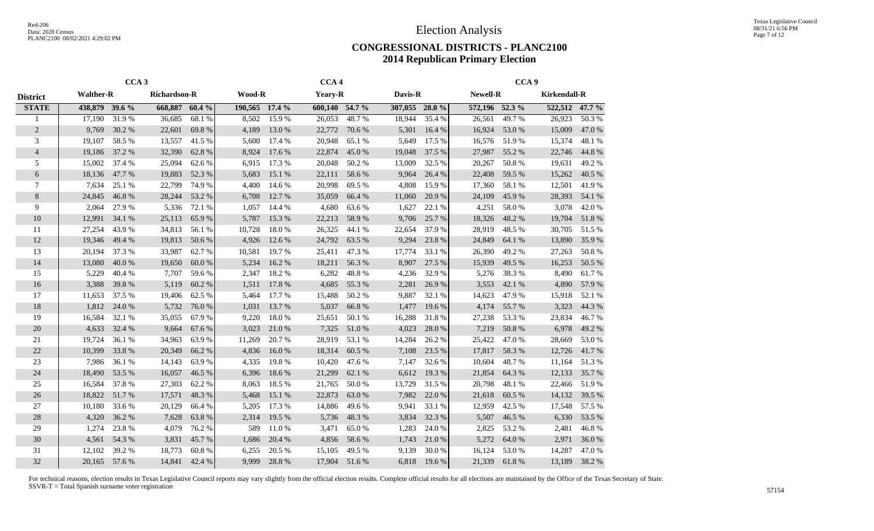|                 |                  | CCA <sub>3</sub> |                     |        |                |        | CCA <sub>4</sub> |        |                |        |                 | CCA <sub>9</sub> |                     |        |
|-----------------|------------------|------------------|---------------------|--------|----------------|--------|------------------|--------|----------------|--------|-----------------|------------------|---------------------|--------|
| <b>District</b> | <b>Walther-R</b> |                  | <b>Richardson-R</b> |        | <b>Wood-R</b>  |        | <b>Yeary-R</b>   |        | Davis-R        |        | <b>Newell-R</b> |                  | <b>Kirkendall-R</b> |        |
| <b>STATE</b>    | 438,879 39.6 %   |                  | 668,887             | 60.4%  | 190,565 17.4 % |        | 600,140 54.7 %   |        | 307,055 28.0 % |        | 572,196 52.3 %  |                  | 522,512 47.7 %      |        |
| 1               | 17,190           | 31.9%            | 36,685              | 68.1%  | 8,502          | 15.9%  | 26,053           | 48.7%  | 18,944         | 35.4 % | 26,561          | 49.7%            | 26,923              | 50.3%  |
| $\overline{2}$  | 9,769            | 30.2 %           | 22,601              | 69.8%  | 4,189          | 13.0 % | 22,772           | 70.6 % | 5,301          | 16.4 % | 16,924          | 53.0%            | 15,009              | 47.0%  |
| 3               | 19,107           | 58.5 %           | 13,557              | 41.5 % | 5,600          | 17.4 % | 20,948           | 65.1 % | 5,649          | 17.5 % | 16,576          | 51.9%            | 15,374              | 48.1 % |
| $\overline{4}$  | 19,186           | 37.2 %           | 32,390              | 62.8%  | 8,924          | 17.6 % | 22,874           | 45.0%  | 19,048         | 37.5 % | 27,987          | 55.2 %           | 22,746              | 44.8%  |
| 5               | 15,002           | 37.4 %           | 25,094              | 62.6 % | 6,915          | 17.3 % | 20,048           | 50.2%  | 13,009         | 32.5 % | 20,267          | 50.8%            | 19,631              | 49.2%  |
| 6               | 18,136           | 47.7 %           | 19,883              | 52.3%  | 5,683          | 15.1 % | 22,111           | 58.6%  | 9,964          | 26.4 % | 22,408          | 59.5 %           | 15,262              | 40.5 % |
| 7               | 7,634            | 25.1 %           | 22,799              | 74.9%  | 4,400          | 14.6 % | 20,998           | 69.5 % | 4,808          | 15.9%  | 17,360          | 58.1 %           | 12,501              | 41.9%  |
| 8               | 24,845           | 46.8%            | 28,244              | 53.2 % | 6,708          | 12.7 % | 35,059           | 66.4 % | 11,060         | 20.9%  | 24,109          | 45.9%            | 28,393              | 54.1 % |
| 9               | 2,064            | 27.9 %           | 5,336               | 72.1 % | 1,057          | 14.4 % | 4,680            | 63.6 % | 1,627          | 22.1 % | 4,251           | 58.0%            | 3,078               | 42.0%  |
| 10              | 12,991           | 34.1 %           | 25,113              | 65.9%  | 5,787          | 15.3 % | 22,213           | 58.9%  | 9,706          | 25.7 % | 18,326          | 48.2%            | 19,704              | 51.8%  |
| 11              | 27,254           | 43.9%            | 34,813              | 56.1 % | 10,728         | 18.0%  | 26,325           | 44.1 % | 22,654         | 37.9 % | 28,919          | 48.5%            | 30,705              | 51.5 % |
| 12              | 19,346           | 49.4 %           | 19,813              | 50.6%  | 4,926          | 12.6 % | 24,792           | 63.5%  | 9,294          | 23.8%  | 24,849          | 64.1 %           | 13,890              | 35.9%  |
| 13              | 20,194           | 37.3 %           | 33,987              | 62.7 % | 10,581         | 19.7%  | 25,411           | 47.3 % | 17,774         | 33.1 % | 26,390          | 49.2%            | 27,263              | 50.8%  |
| 14              | 13,080           | 40.0%            | 19,650              | 60.0%  | 5,234          | 16.2%  | 18,211           | 56.3%  | 8,907          | 27.5 % | 15,939          | 49.5 %           | 16,253              | 50.5 % |
| 15              | 5,229            | 40.4 %           | 7,707               | 59.6%  | 2,347          | 18.2%  | 6,282            | 48.8%  | 4,236          | 32.9%  | 5,276           | 38.3%            | 8,490               | 61.7%  |
| 16              | 3,388            | 39.8%            | 5,119               | 60.2%  | 1,511          | 17.8 % | 4,685            | 55.3 % | 2,281          | 26.9%  | 3,553           | 42.1 %           | 4,890               | 57.9%  |
| 17              | 11,653           | 37.5 %           | 19,406              | 62.5 % | 5,464          | 17.7 % | 15,488           | 50.2%  | 9,887          | 32.1 % | 14,623          | 47.9%            | 15,918              | 52.1 % |
| 18              | 1,812            | 24.0 %           | 5,732               | 76.0%  | 1,031          | 13.7 % | 5,037            | 66.8%  | 1,477          | 19.6%  | 4,174           | 55.7%            | 3,323               | 44.3 % |
| 19              | 16,584           | 32.1 %           | 35,055              | 67.9%  | 9,220          | 18.0%  | 25,651           | 50.1 % | 16,288         | 31.8%  | 27,238          | 53.3 %           | 23,834              | 46.7%  |
| 20              | 4,633            | 32.4 %           | 9,664               | 67.6 % | 3,023          | 21.0%  | 7,325            | 51.0%  | 4,023          | 28.0%  | 7,219           | 50.8%            | 6,978               | 49.2 % |
| 21              | 19,724           | 36.1 %           | 34,963              | 63.9%  | 11,269         | 20.7 % | 28,919           | 53.1 % | 14,284         | 26.2 % | 25,422          | 47.0 %           | 28,669              | 53.0%  |
| $22\,$          | 10,399           | 33.8%            | 20,349              | 66.2%  | 4,836          | 16.0%  | 18,314           | 60.5 % | 7,108          | 23.5 % | 17,817          | 58.3%            | 12,726              | 41.7%  |
| 23              | 7,986            | 36.1 %           | 14,143              | 63.9%  | 4,335          | 19.8%  | 10,420           | 47.6 % | 7,147          | 32.6 % | 10,604          | 48.7%            | 11,164              | 51.3%  |
| 24              | 18,490           | 53.5 %           | 16,057              | 46.5 % | 6,396          | 18.6%  | 21,299           | 62.1 % | 6,612          | 19.3%  | 21,854          | 64.3 %           | 12,133              | 35.7 % |
| 25              | 16,584           | 37.8%            | 27,303              | 62.2%  | 8,063          | 18.5 % | 21,765           | 50.0%  | 13,729         | 31.5 % | 20,798          | 48.1%            | 22,466              | 51.9%  |
| 26              | 18,822           | 51.7%            | 17,571              | 48.3%  | 5,468          | 15.1 % | 22,873           | 63.0%  | 7,982          | 22.0 % | 21,618          | 60.5 %           | 14,132              | 39.5 % |
| 27              | 10,180           | 33.6 %           | 20,129              | 66.4 % | 5,205          | 17.3 % | 14,886           | 49.6%  | 9,941          | 33.1 % | 12,959          | 42.5 %           | 17,548              | 57.5 % |
| 28              | 4,320            | 36.2%            | 7,628               | 63.8%  | 2,314          | 19.5 % | 5,736            | 48.3%  | 3,834          | 32.3 % | 5,507           | 46.5%            | 6,330               | 53.5 % |
| 29              | 1,274            | 23.8%            | 4,079               | 76.2%  | 589            | 11.0%  | 3,471            | 65.0%  | 1,283          | 24.0 % | 2,825           | 53.2%            | 2,481               | 46.8%  |
| 30              | 4,561            | 54.3 %           | 3,831               | 45.7%  | 1,686          | 20.4 % | 4,856            | 58.6%  | 1,743          | 21.0%  | 5,272           | 64.0%            | 2,971               | 36.0%  |
| 31              | 12,102           | 39.2 %           | 18,773              | 60.8%  | 6,255          | 20.5 % | 15,105           | 49.5 % | 9,139          | 30.0%  | 16,124          | 53.0%            | 14,287              | 47.0%  |
| 32              |                  | 20,165 57.6 %    | 14,841              | 42.4 % | 9.999          | 28.8%  | 17,904           | 51.6 % | 6,818          | 19.6 % | 21,339          | 61.8%            | 13,189              | 38.2%  |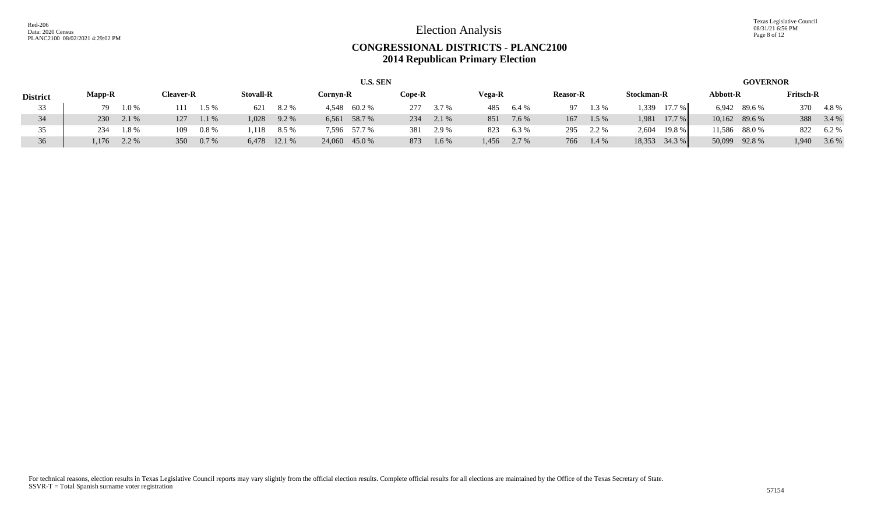Texas Legislative Council 08/31/21 6:56 PM Page 8 of 12

### **CONGRESSIONAL DISTRICTS - PLANC2100 2014 Republican Primary Election**

|                 |               |         |                  |         |                  |              |          | <b>U.S. SEN</b> |        |       |        |       |                 |         |                   |        |               | <b>GOVERNOR</b> |                  |         |
|-----------------|---------------|---------|------------------|---------|------------------|--------------|----------|-----------------|--------|-------|--------|-------|-----------------|---------|-------------------|--------|---------------|-----------------|------------------|---------|
| <b>District</b> | <b>Mapp-R</b> |         | <b>Cleaver-R</b> |         | <b>Stovall-R</b> |              | Cornyn-R |                 | Cope-R |       | Vega-R |       | <b>Reasor-R</b> |         | <b>Stockman-R</b> |        | Abbott-R      |                 | <b>Fritsch-R</b> |         |
| 33              | 79            | $1.0\%$ |                  | 1.5 %   | 621              | 8.2%         |          | 4,548 60.2 %    | 277    | 3.7 % | 485    | 6.4 % | 97              | 1.3 %   | 1,339             | 17.7 % |               | 6,942 89.6 %    | 370              | 4.8%    |
| 34              | 230           | 2.1 %   | 127              | 1.1 %   | 1,028            | 9.2 %        |          | 6,561 58.7 %    | 234    | 2.1 % | 851    | 7.6 % | 167             | $1.5\%$ | 1.981             | 17.7 % |               | 10,162 89.6 %   | 388              | 3.4%    |
| 35              | 234           | $1.8\%$ | 109              | $0.8\%$ | .118             | 8.5 %        |          | 7,596 57.7 %    | 381    | 2.9 % | 823    | 6.3 % | 295             | 2.2 %   | 2.604             | 19.8%  |               | 11,586 88.0 %   | 822              | $6.2\%$ |
| 36              | 1.176         | 2.2 %   | 350              | $0.7\%$ |                  | 6,478 12.1 % |          | 24,060 45.0 %   | 873    | 1.6 % | 1,456  | 2.7%  | 766             | 1.4 %   | 18,353            | 34.3 % | 50,099 92.8 % |                 | 1,940            | 3.6 %   |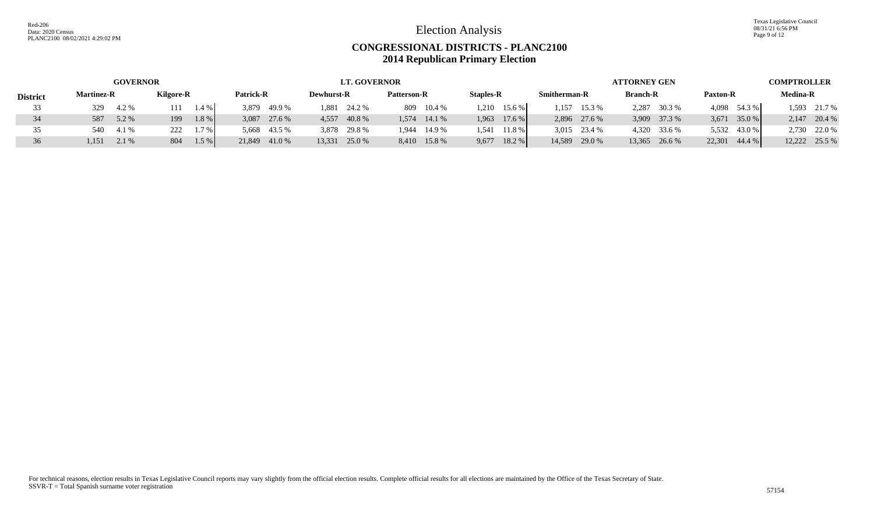Texas Legislative Council 08/31/21 6:56 PM Page 9 of 12

### **CONGRESSIONAL DISTRICTS - PLANC2100 2014 Republican Primary Election**

|                 |                   | <b>GOVERNOR</b>  |         |                  | <b>LT. GOVERNOR</b> |                    |                   |                     | ATTORNEY GEN    |                   | <b>COMPTROLLER</b> |
|-----------------|-------------------|------------------|---------|------------------|---------------------|--------------------|-------------------|---------------------|-----------------|-------------------|--------------------|
| <b>District</b> | <b>Martinez-R</b> | <b>Kilgore-R</b> |         | <b>Patrick-R</b> | <b>Dewhurst-R</b>   | <b>Patterson-R</b> | <b>Staples-R</b>  | <b>Smitherman-R</b> | <b>Branch-R</b> | <b>Paxton-R</b>   | <b>Medina-R</b>    |
| 33              | 329<br>4.2 %      |                  | 1.4 %   | 49.9 %<br>3,879  | 1.881<br>24.2 %     | 809<br>10.4%       | 15.6 %<br>.210    | 15.3 %<br>.157      | 2.287<br>30.3 % | 4,098<br>54.3 %   | 1,593 21.7 %       |
| 34              | 587<br>5.2 %      | 199              | 1.8 %   | 3,087<br>27.6 %  | 4,557<br>40.8 %     | 14.1 %<br>1.574    | $17.6\%$<br>1,963 | 2,896 27.6 %        | 3,909 37.3 %    | $35.0\%$<br>3,671 | 2,147 20.4 %       |
| 35              | 4.1 %<br>540      | 222              | 1.7%    | 5,668<br>43.5 %  | 3,878<br>29.8 %     | 14.9 %<br>1.944    | .541<br>11.8%     | 3,015 23.4 %        | 4,320 33.6 %    | 43.0 %<br>5,532   | 2,730 22.0 %       |
| 36              | 1,151<br>2.1 %    | 804              | $1.5\%$ | 21,849 41.0 %    | 13,331<br>25.0 %    | 8,410 15.8 %       | 18.2 %<br>9,677   | 14,589 29.0 %       | 13,365 26.6 %   | 44.4 %<br>22.301  | 12,222 25.5 %      |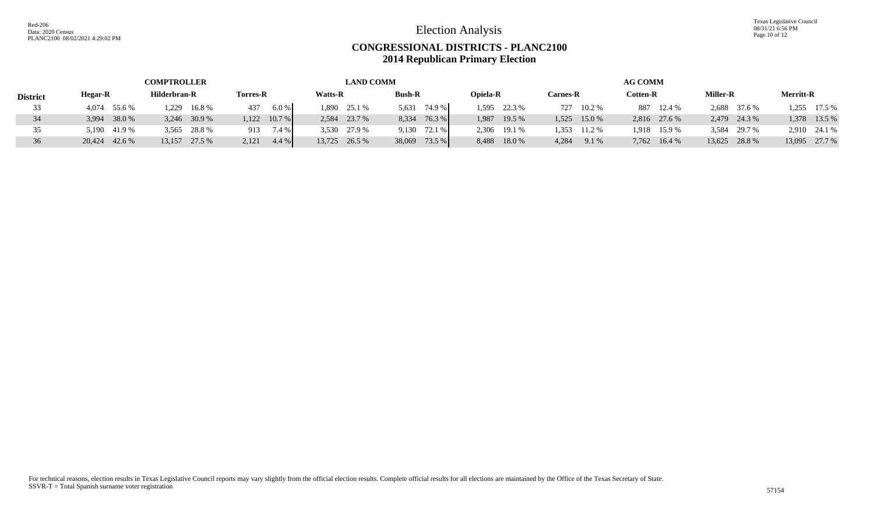Texas Legislative Council 08/31/21 6:56 PM Page 10 of 12

### **CONGRESSIONAL DISTRICTS - PLANC2100 2014 Republican Primary Election**

|                 |               | <b>COMPTROLLER</b> |                  | <b>LAND COMM</b> |                 |                 |                 | <b>AG COMM</b>  |                 |                  |
|-----------------|---------------|--------------------|------------------|------------------|-----------------|-----------------|-----------------|-----------------|-----------------|------------------|
| <b>District</b> | Hegar-R       | Hilderbran-R       | <b>Torres-R</b>  | <b>Watts-R</b>   | <b>Bush-R</b>   | <b>Opiela-R</b> | <b>Carnes-R</b> | <b>Cotten-R</b> | <b>Miller-R</b> | <b>Merritt-R</b> |
| 33              | 4,074 55.6 %  | 16.8%<br>1.229     | 6.0%<br>437      | 1,890 25.1 %     | 74.9 %<br>5.631 | 1,595 22.3 %    | 727 10.2 %      | 887 12.4 %      | 2,688 37.6 %    | $.255$ 17.5 %    |
|                 | 3,994 38.0 %  | 3,246 30.9 %       | $1,122$ 10.7 %   | 2,584 23.7 %     | 76.3 %<br>8.334 | 1,987 19.5 %    | $1,525$ 15.0 %  | 2,816 27.6 %    | 2,479 24.3 %    | 1,378 13.5 %     |
|                 | 5,190 41.9 %  | 3,565 28.8 %       | 7.4 %<br>913     | 3,530 27.9 %     | $9,130$ 72.1 %  | 2,306 19.1 %    | 1.353<br>11.2 % | 1,918 15.9 %    | 3,584 29.7 %    | 2,910 24.1 %     |
|                 | 20,424 42.6 % | 13,157<br>27.5 %   | 2,121<br>$4.4\%$ | 13,725 26.5 %    | 38,069 73.5 %   | 18.0 %<br>8,488 | 4,284<br>9.1 %  | 7,762 16.4 %    | 13,625 28.8 %   | 13,095 27.7 %    |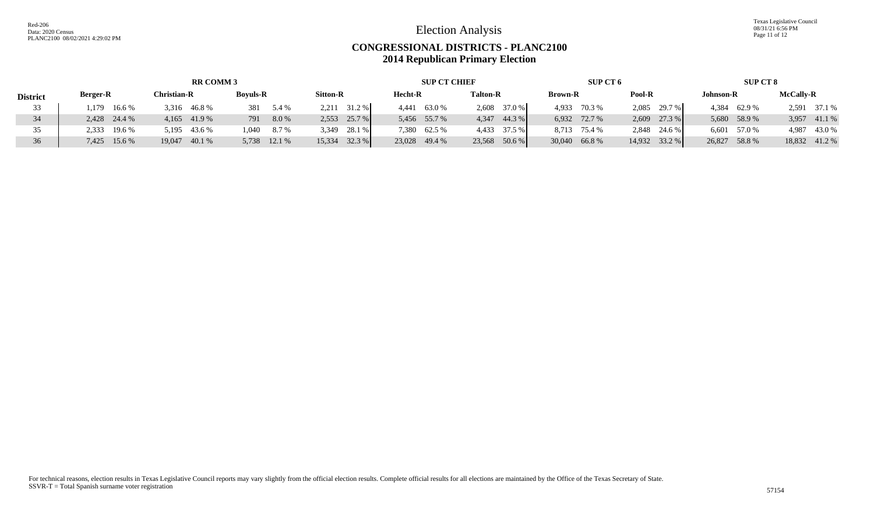Texas Legislative Council 08/31/21 6:56 PM Page 11 of 12

### **CONGRESSIONAL DISTRICTS - PLANC2100 2014 Republican Primary Election**

|                 |                 | <b>RR COMM 3</b> |                 |                  | <b>SUP CT CHIEF</b> |                    | SUP CT 6        |                 | SUP CT 8         |                  |
|-----------------|-----------------|------------------|-----------------|------------------|---------------------|--------------------|-----------------|-----------------|------------------|------------------|
| <b>District</b> | <b>Berger-R</b> | Christian-R      | <b>Boyuls-R</b> | <b>Sitton-R</b>  | Hecht-R             | <b>Talton-R</b>    | <b>Brown-R</b>  | Pool-R          | <b>Johnson-R</b> | <b>McCally-R</b> |
| 33              | 16.6 %<br>1.179 | 46.8 %<br>3.316  | 381<br>5.4 %    | 31.2 %<br>2.211  | 63.0 %<br>4,441     | 2,608 37.0 %       | 70.3 %<br>4,933 | 2,085 29.7 %    | 4,384 62.9 %     | 2,591 37.1 %     |
| 34              | 2,428 24.4 %    | $4,165$ $41.9\%$ | 8.0%<br>791     | 25.7 %<br>2,553  | 5,456 55.7 %        | $4,347$ $44.3%$    | 6,932 72.7 %    | 27.3 %<br>2,609 | 5,680 58.9 %     | 3,957 41.1 %     |
| 35              | 19.6 %<br>2,333 | 5,195 43.6 %     | 8.7 %<br>1.040  | 28.1 %<br>3,349  | 7,380 62.5 %        | 4,433 37.5 %       | 8,713 75.4 %    | 2,848 24.6 %    | 6,601 57.0 %     | 4,987 43.0 %     |
| 36              | 7,425 15.6 %    | 19,047<br>40.1 % | 5,738 12.1 %    | 32.3 %<br>15,334 | 23,028 49.4 %       | $50.6\%$<br>23,568 | 30,040 66.8 %   | 14,932 33.2 %   | 26,827<br>58.8 % | 18,832 41.2 %    |